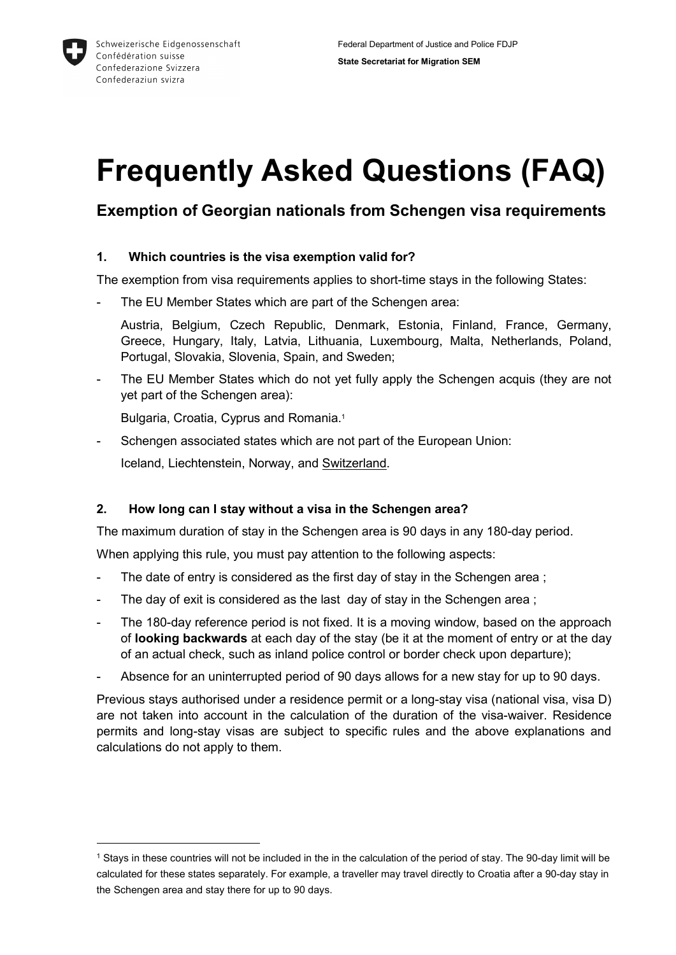

-

# Frequently Asked Questions (FAQ)

# Exemption of Georgian nationals from Schengen visa requirements

# 1. Which countries is the visa exemption valid for?

The exemption from visa requirements applies to short-time stays in the following States:

The EU Member States which are part of the Schengen area:

Austria, Belgium, Czech Republic, Denmark, Estonia, Finland, France, Germany, Greece, Hungary, Italy, Latvia, Lithuania, Luxembourg, Malta, Netherlands, Poland, Portugal, Slovakia, Slovenia, Spain, and Sweden;

The EU Member States which do not yet fully apply the Schengen acquis (they are not yet part of the Schengen area):

Bulgaria, Croatia, Cyprus and Romania.<sup>1</sup>

- Schengen associated states which are not part of the European Union: Iceland, Liechtenstein, Norway, and Switzerland.

# 2. How long can I stay without a visa in the Schengen area?

The maximum duration of stay in the Schengen area is 90 days in any 180-day period.

When applying this rule, you must pay attention to the following aspects:

- The date of entry is considered as the first day of stay in the Schengen area ;
- The day of exit is considered as the last day of stay in the Schengen area;
- The 180-day reference period is not fixed. It is a moving window, based on the approach of looking backwards at each day of the stay (be it at the moment of entry or at the day of an actual check, such as inland police control or border check upon departure);
- Absence for an uninterrupted period of 90 days allows for a new stay for up to 90 days.

Previous stays authorised under a residence permit or a long-stay visa (national visa, visa D) are not taken into account in the calculation of the duration of the visa-waiver. Residence permits and long-stay visas are subject to specific rules and the above explanations and calculations do not apply to them.

<sup>1</sup> Stays in these countries will not be included in the in the calculation of the period of stay. The 90-day limit will be calculated for these states separately. For example, a traveller may travel directly to Croatia after a 90-day stay in the Schengen area and stay there for up to 90 days.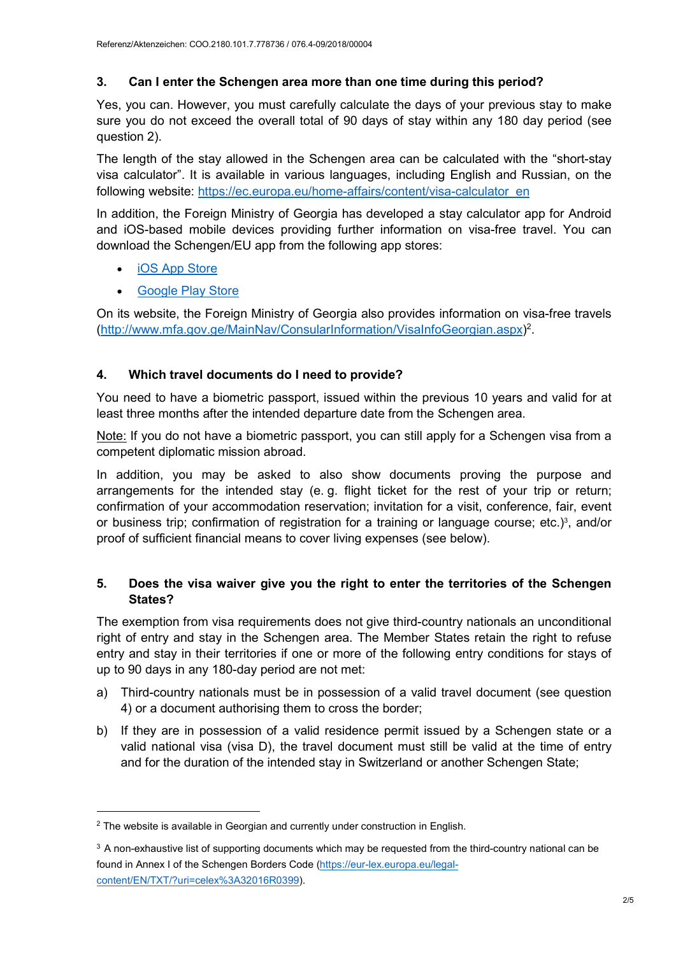# 3. Can I enter the Schengen area more than one time during this period?

Yes, you can. However, you must carefully calculate the days of your previous stay to make sure you do not exceed the overall total of 90 days of stay within any 180 day period (see question 2).

The length of the stay allowed in the Schengen area can be calculated with the "short-stay visa calculator". It is available in various languages, including English and Russian, on the following website: https://ec.europa.eu/home-affairs/content/visa-calculator\_en

In addition, the Foreign Ministry of Georgia has developed a stay calculator app for Android and iOS-based mobile devices providing further information on visa-free travel. You can download the Schengen/EU app from the following app stores:

iOS App Store

-

Google Play Store

On its website, the Foreign Ministry of Georgia also provides information on visa-free travels (http://www.mfa.gov.ge/MainNav/ConsularInformation/VisaInfoGeorgian.aspx)<sup>2</sup>.

# 4. Which travel documents do I need to provide?

You need to have a biometric passport, issued within the previous 10 years and valid for at least three months after the intended departure date from the Schengen area.

Note: If you do not have a biometric passport, you can still apply for a Schengen visa from a competent diplomatic mission abroad.

In addition, you may be asked to also show documents proving the purpose and arrangements for the intended stay (e. g. flight ticket for the rest of your trip or return; confirmation of your accommodation reservation; invitation for a visit, conference, fair, event or business trip; confirmation of registration for a training or language course; etc.)<sup>3</sup>, and/or proof of sufficient financial means to cover living expenses (see below).

#### 5. Does the visa waiver give you the right to enter the territories of the Schengen States?

The exemption from visa requirements does not give third-country nationals an unconditional right of entry and stay in the Schengen area. The Member States retain the right to refuse entry and stay in their territories if one or more of the following entry conditions for stays of up to 90 days in any 180-day period are not met:

- a) Third-country nationals must be in possession of a valid travel document (see question 4) or a document authorising them to cross the border;
- b) If they are in possession of a valid residence permit issued by a Schengen state or a valid national visa (visa D), the travel document must still be valid at the time of entry and for the duration of the intended stay in Switzerland or another Schengen State;

<sup>&</sup>lt;sup>2</sup> The website is available in Georgian and currently under construction in English.

<sup>&</sup>lt;sup>3</sup> A non-exhaustive list of supporting documents which may be requested from the third-country national can be found in Annex I of the Schengen Borders Code (https://eur-lex.europa.eu/legalcontent/EN/TXT/?uri=celex%3A32016R0399).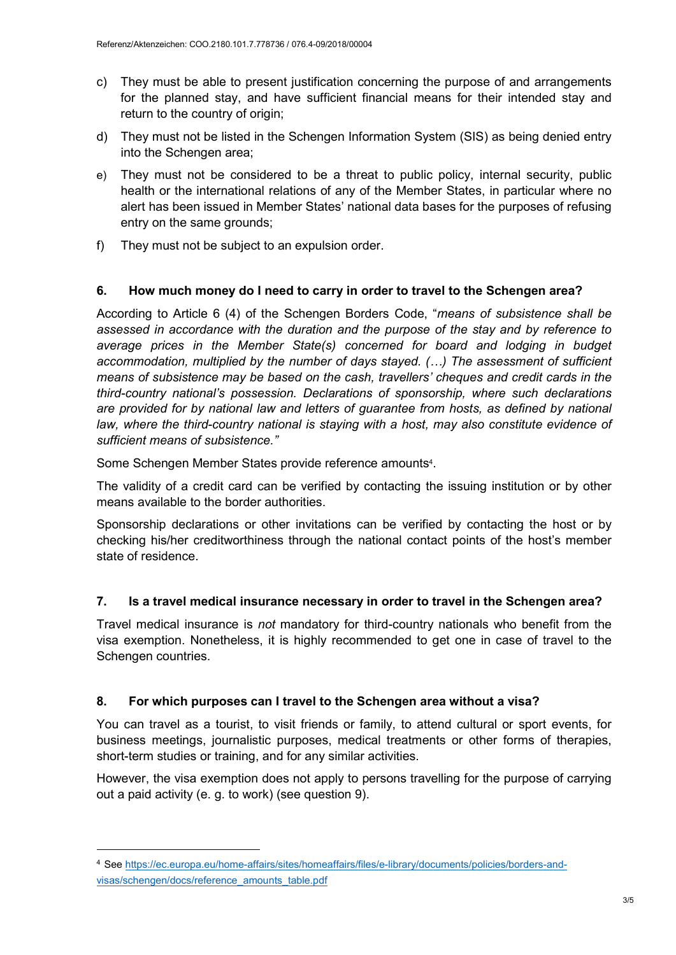- c) They must be able to present justification concerning the purpose of and arrangements for the planned stay, and have sufficient financial means for their intended stay and return to the country of origin;
- d) They must not be listed in the Schengen Information System (SIS) as being denied entry into the Schengen area;
- e) They must not be considered to be a threat to public policy, internal security, public health or the international relations of any of the Member States, in particular where no alert has been issued in Member States' national data bases for the purposes of refusing entry on the same grounds;
- f) They must not be subject to an expulsion order.

# 6. How much money do I need to carry in order to travel to the Schengen area?

According to Article 6 (4) of the Schengen Borders Code, "means of subsistence shall be assessed in accordance with the duration and the purpose of the stay and by reference to average prices in the Member State(s) concerned for board and lodging in budget accommodation, multiplied by the number of days stayed. (…) The assessment of sufficient means of subsistence may be based on the cash, travellers' cheques and credit cards in the third-country national's possession. Declarations of sponsorship, where such declarations are provided for by national law and letters of guarantee from hosts, as defined by national law, where the third-country national is staying with a host, may also constitute evidence of sufficient means of subsistence."

Some Schengen Member States provide reference amounts<sup>4</sup>.

The validity of a credit card can be verified by contacting the issuing institution or by other means available to the border authorities.

Sponsorship declarations or other invitations can be verified by contacting the host or by checking his/her creditworthiness through the national contact points of the host's member state of residence.

#### 7. Is a travel medical insurance necessary in order to travel in the Schengen area?

Travel medical insurance is not mandatory for third-country nationals who benefit from the visa exemption. Nonetheless, it is highly recommended to get one in case of travel to the Schengen countries.

#### 8. For which purposes can I travel to the Schengen area without a visa?

You can travel as a tourist, to visit friends or family, to attend cultural or sport events, for business meetings, journalistic purposes, medical treatments or other forms of therapies, short-term studies or training, and for any similar activities.

However, the visa exemption does not apply to persons travelling for the purpose of carrying out a paid activity (e. g. to work) (see question 9).

-

<sup>4</sup> See https://ec.europa.eu/home-affairs/sites/homeaffairs/files/e-library/documents/policies/borders-andvisas/schengen/docs/reference\_amounts\_table.pdf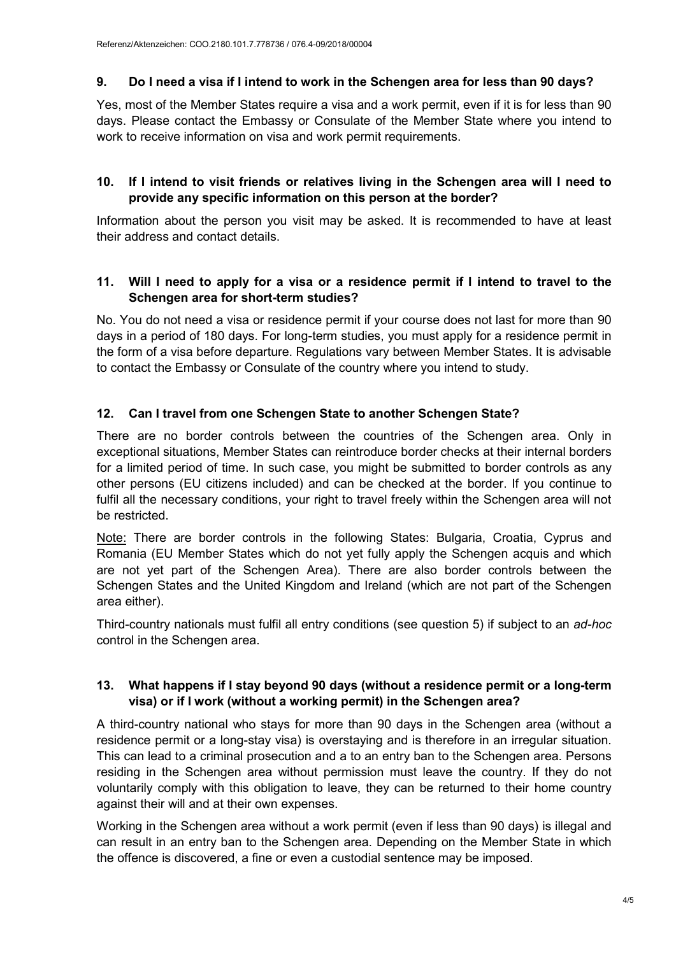# 9. Do I need a visa if I intend to work in the Schengen area for less than 90 days?

Yes, most of the Member States require a visa and a work permit, even if it is for less than 90 days. Please contact the Embassy or Consulate of the Member State where you intend to work to receive information on visa and work permit requirements.

#### 10. If I intend to visit friends or relatives living in the Schengen area will I need to provide any specific information on this person at the border?

Information about the person you visit may be asked. It is recommended to have at least their address and contact details.

#### 11. Will I need to apply for a visa or a residence permit if I intend to travel to the Schengen area for short-term studies?

No. You do not need a visa or residence permit if your course does not last for more than 90 days in a period of 180 days. For long-term studies, you must apply for a residence permit in the form of a visa before departure. Regulations vary between Member States. It is advisable to contact the Embassy or Consulate of the country where you intend to study.

# 12. Can I travel from one Schengen State to another Schengen State?

There are no border controls between the countries of the Schengen area. Only in exceptional situations, Member States can reintroduce border checks at their internal borders for a limited period of time. In such case, you might be submitted to border controls as any other persons (EU citizens included) and can be checked at the border. If you continue to fulfil all the necessary conditions, your right to travel freely within the Schengen area will not be restricted.

Note: There are border controls in the following States: Bulgaria, Croatia, Cyprus and Romania (EU Member States which do not yet fully apply the Schengen acquis and which are not yet part of the Schengen Area). There are also border controls between the Schengen States and the United Kingdom and Ireland (which are not part of the Schengen area either).

Third-country nationals must fulfil all entry conditions (see question 5) if subject to an ad-hoc control in the Schengen area.

# 13. What happens if I stay beyond 90 days (without a residence permit or a long-term visa) or if I work (without a working permit) in the Schengen area?

A third-country national who stays for more than 90 days in the Schengen area (without a residence permit or a long-stay visa) is overstaying and is therefore in an irregular situation. This can lead to a criminal prosecution and a to an entry ban to the Schengen area. Persons residing in the Schengen area without permission must leave the country. If they do not voluntarily comply with this obligation to leave, they can be returned to their home country against their will and at their own expenses.

Working in the Schengen area without a work permit (even if less than 90 days) is illegal and can result in an entry ban to the Schengen area. Depending on the Member State in which the offence is discovered, a fine or even a custodial sentence may be imposed.